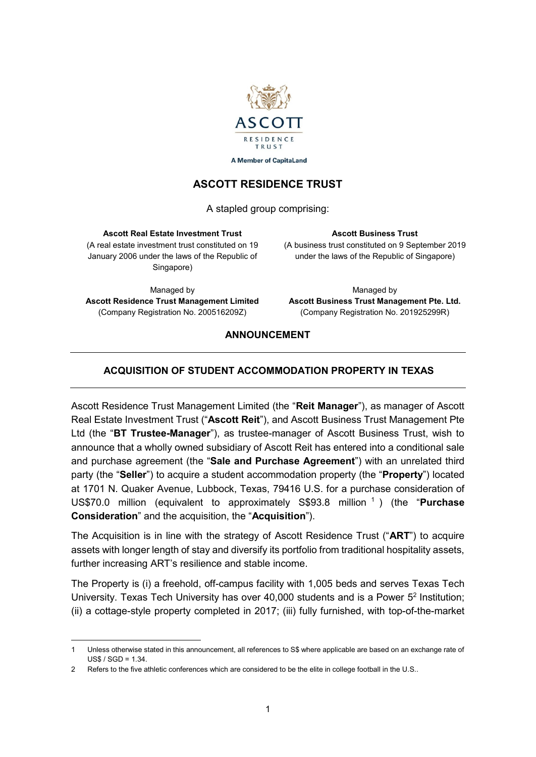

**A Member of CapitaLand** 

# **ASCOTT RESIDENCE TRUST**

A stapled group comprising:

### **Ascott Real Estate Investment Trust**

(A real estate investment trust constituted on 19 January 2006 under the laws of the Republic of Singapore)

(A business trust constituted on 9 September 2019 under the laws of the Republic of Singapore)

**Ascott Business Trust**

Managed by **Ascott Residence Trust Management Limited**  (Company Registration No. 200516209Z)

Managed by **Ascott Business Trust Management Pte. Ltd.** (Company Registration No. 201925299R)

## **ANNOUNCEMENT**

# **ACQUISITION OF STUDENT ACCOMMODATION PROPERTY IN TEXAS**

Ascott Residence Trust Management Limited (the "**Reit Manager**"), as manager of Ascott Real Estate Investment Trust ("**Ascott Reit**"), and Ascott Business Trust Management Pte Ltd (the "**BT Trustee-Manager**"), as trustee-manager of Ascott Business Trust, wish to announce that a wholly owned subsidiary of Ascott Reit has entered into a conditional sale and purchase agreement (the "**Sale and Purchase Agreement**") with an unrelated third party (the "**Seller**") to acquire a student accommodation property (the "**Property**") located at 1701 N. Quaker Avenue, Lubbock, Texas, 79416 U.S. for a purchase consideration of US\$70.0 million (equivalent to approximately S\$93.8 million <sup>1</sup> ) (the "**Purchase Consideration**" and the acquisition, the "**Acquisition**").

The Acquisition is in line with the strategy of Ascott Residence Trust ("**ART**") to acquire assets with longer length of stay and diversify its portfolio from traditional hospitality assets, further increasing ART's resilience and stable income.

The Property is (i) a freehold, off-campus facility with 1,005 beds and serves Texas Tech University. Texas Tech University has over 40,000 students and is a Power 5<sup>2</sup> Institution; (ii) a cottage-style property completed in 2017; (iii) fully furnished, with top-of-the-market

 $\overline{a}$ 1 Unless otherwise stated in this announcement, all references to S\$ where applicable are based on an exchange rate of  $USS / SGD = 1.34$ 

<sup>2</sup> Refers to the five athletic conferences which are considered to be the elite in college football in the U.S..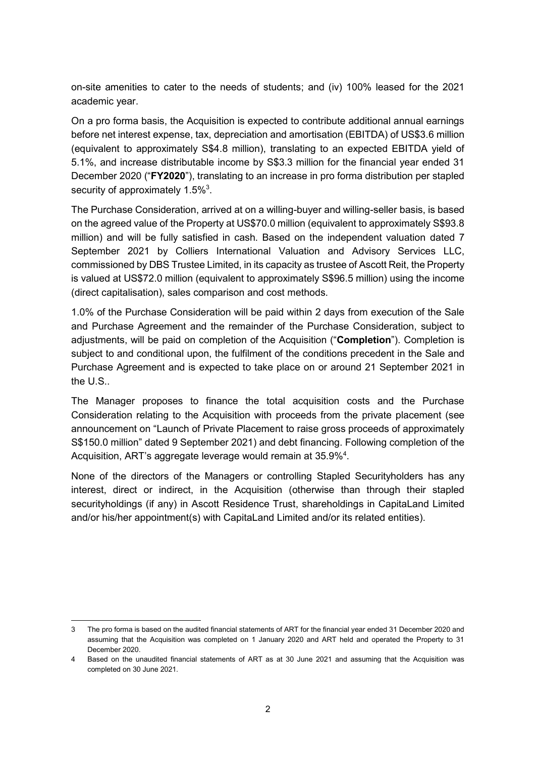on-site amenities to cater to the needs of students; and (iv) 100% leased for the 2021 academic year.

On a pro forma basis, the Acquisition is expected to contribute additional annual earnings before net interest expense, tax, depreciation and amortisation (EBITDA) of US\$3.6 million (equivalent to approximately S\$4.8 million), translating to an expected EBITDA yield of 5.1%, and increase distributable income by S\$3.3 million for the financial year ended 31 December 2020 ("**FY2020**"), translating to an increase in pro forma distribution per stapled security of approximately 1.5% $3$ .

The Purchase Consideration, arrived at on a willing-buyer and willing-seller basis, is based on the agreed value of the Property at US\$70.0 million (equivalent to approximately S\$93.8 million) and will be fully satisfied in cash. Based on the independent valuation dated 7 September 2021 by Colliers International Valuation and Advisory Services LLC, commissioned by DBS Trustee Limited, in its capacity as trustee of Ascott Reit, the Property is valued at US\$72.0 million (equivalent to approximately S\$96.5 million) using the income (direct capitalisation), sales comparison and cost methods.

1.0% of the Purchase Consideration will be paid within 2 days from execution of the Sale and Purchase Agreement and the remainder of the Purchase Consideration, subject to adjustments, will be paid on completion of the Acquisition ("**Completion**"). Completion is subject to and conditional upon, the fulfilment of the conditions precedent in the Sale and Purchase Agreement and is expected to take place on or around 21 September 2021 in the U.S..

The Manager proposes to finance the total acquisition costs and the Purchase Consideration relating to the Acquisition with proceeds from the private placement (see announcement on "Launch of Private Placement to raise gross proceeds of approximately S\$150.0 million" dated 9 September 2021) and debt financing. Following completion of the Acquisition, ART's aggregate leverage would remain at 35.9%<sup>4</sup>.

None of the directors of the Managers or controlling Stapled Securityholders has any interest, direct or indirect, in the Acquisition (otherwise than through their stapled securityholdings (if any) in Ascott Residence Trust, shareholdings in CapitaLand Limited and/or his/her appointment(s) with CapitaLand Limited and/or its related entities).

 $\overline{a}$ 

<sup>3</sup> The pro forma is based on the audited financial statements of ART for the financial year ended 31 December 2020 and assuming that the Acquisition was completed on 1 January 2020 and ART held and operated the Property to 31 December 2020.

<sup>4</sup> Based on the unaudited financial statements of ART as at 30 June 2021 and assuming that the Acquisition was completed on 30 June 2021.